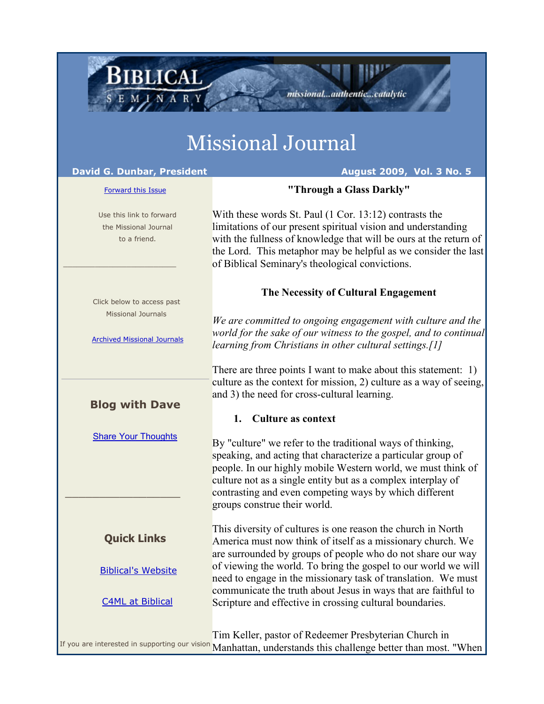# Missional Journal

#### **David G. Dunbar, President August 2009, Vol. 3 No. 5**

BIBLICAL

#### [Forward this Issue](http://ui.constantcontact.com/sa/fwtf.jsp?m=1101554955461&a=1101726756528&id=preview)

 Use this link to forward the Missional Journal to a friend.

 Click below to access past Missional Journals

\_\_\_\_\_\_\_\_\_\_\_\_\_\_\_\_\_\_\_\_\_\_\_\_\_

[Archived Missional Journals](http://rs6.net/tn.jsp?e=001Fl-bft8KcLNJoLxIcE9wl4ne28OHDLfGiqZ-DPk-03HcvPdpQ3G_B73G-4fh8t0r3sAeRRenManB-s5AF1Sr1TBCmHv2eGK7H6BS0wgqxLzTORe8g6b5fzczv0YbFAT6HZVxuIKoGr9hEDPtblfGFqe8lKsMQhHjZfykiH8Ay58=)

# **Blog with Dave**

[Share Your Thoughts](http://rs6.net/tn.jsp?e=001Fl-bft8KcLNJoLxIcE9wl4ne28OHDLfGiqZ-DPk-03HcvPdpQ3G_B73G-4fh8t0riuy6S8vlUYyV6t8Ha64B_-NrwaYUvQddgR7-ZJFY8jhyarT5FgT9rKipI2M77HNasvcTgZj_wGk=)

# **Quick Links**

\_\_\_\_\_\_\_\_\_\_\_\_\_\_\_\_\_

#### [Biblical's Website](http://rs6.net/tn.jsp?e=001Fl-bft8KcLNJoLxIcE9wl4ne28OHDLfGiqZ-DPk-03HcvPdpQ3G_B73G-4fh8t0r3sAeRRenManB-s5AF1Sr1Ug0aUOaGHmO80joBTBR7QiwKC1KQIQUc6EBD3FQA-OX)

[C4ML at Biblical](http://rs6.net/tn.jsp?e=001Fl-bft8KcLNJoLxIcE9wl4ne28OHDLfGiqZ-DPk-03HcvPdpQ3G_B73G-4fh8t0r3sAeRRenMamQQpLa-UVrYfxkDwoG5c0OgkCyuCD2-rQ=)

With these words St. Paul (1 Cor. 13:12) contrasts the limitations of our present spiritual vision and understanding with the fullness of knowledge that will be ours at the return of the Lord. This metaphor may be helpful as we consider the last of Biblical Seminary's theological convictions.

**"Through a Glass Darkly"**

missional...authentic...catalytic

# **The Necessity of Cultural Engagement**

*We are committed to ongoing engagement with culture and the world for the sake of our witness to the gospel, and to continual learning from Christians in other cultural settings.[1]*

There are three points I want to make about this statement: 1) culture as the context for mission, 2) culture as a way of seeing, and 3) the need for cross-cultural learning.

# **1. Culture as context**

By "culture" we refer to the traditional ways of thinking, speaking, and acting that characterize a particular group of people. In our highly mobile Western world, we must think of culture not as a single entity but as a complex interplay of contrasting and even competing ways by which different groups construe their world.

This diversity of cultures is one reason the church in North America must now think of itself as a missionary church. We are surrounded by groups of people who do not share our way of viewing the world. To bring the gospel to our world we will need to engage in the missionary task of translation. We must communicate the truth about Jesus in ways that are faithful to Scripture and effective in crossing cultural boundaries.

If you are interested in supporting our vision Tim Keller, pastor of Redeemer Presbyterian Church in Manhattan, understands this challenge better than most. "When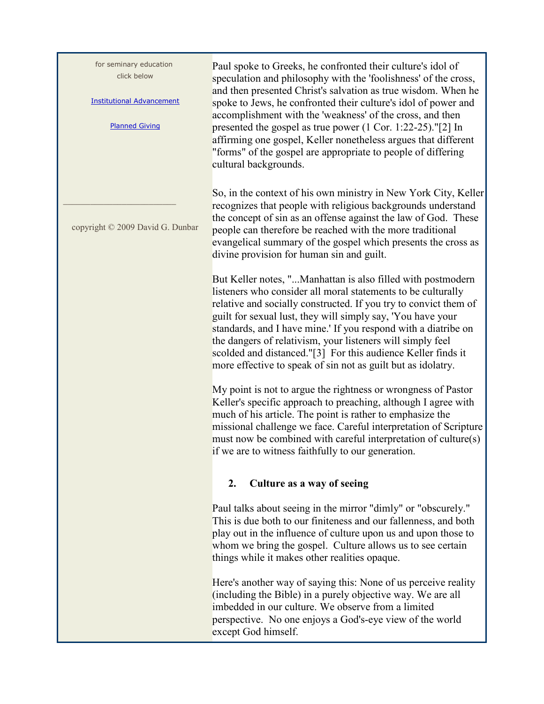| for seminary education<br>click below<br><b>Institutional Advancement</b><br><b>Planned Giving</b> | Paul spoke to Greeks, he confronted their culture's idol of<br>speculation and philosophy with the 'foolishness' of the cross,<br>and then presented Christ's salvation as true wisdom. When he<br>spoke to Jews, he confronted their culture's idol of power and<br>accomplishment with the 'weakness' of the cross, and then<br>presented the gospel as true power $(1 \text{ Cor. } 1:22-25).$ "[2] In<br>affirming one gospel, Keller nonetheless argues that different<br>"forms" of the gospel are appropriate to people of differing<br>cultural backgrounds. |
|----------------------------------------------------------------------------------------------------|----------------------------------------------------------------------------------------------------------------------------------------------------------------------------------------------------------------------------------------------------------------------------------------------------------------------------------------------------------------------------------------------------------------------------------------------------------------------------------------------------------------------------------------------------------------------|
| copyright © 2009 David G. Dunbar                                                                   | So, in the context of his own ministry in New York City, Keller<br>recognizes that people with religious backgrounds understand<br>the concept of sin as an offense against the law of God. These<br>people can therefore be reached with the more traditional<br>evangelical summary of the gospel which presents the cross as<br>divine provision for human sin and guilt.                                                                                                                                                                                         |
|                                                                                                    | But Keller notes, "Manhattan is also filled with postmodern<br>listeners who consider all moral statements to be culturally<br>relative and socially constructed. If you try to convict them of<br>guilt for sexual lust, they will simply say, 'You have your<br>standards, and I have mine.' If you respond with a diatribe on<br>the dangers of relativism, your listeners will simply feel<br>scolded and distanced."[3] For this audience Keller finds it<br>more effective to speak of sin not as guilt but as idolatry.                                       |
|                                                                                                    | My point is not to argue the rightness or wrongness of Pastor<br>Keller's specific approach to preaching, although I agree with<br>much of his article. The point is rather to emphasize the<br>missional challenge we face. Careful interpretation of Scripture<br>must now be combined with careful interpretation of culture(s)<br>if we are to witness faithfully to our generation.                                                                                                                                                                             |
|                                                                                                    | Culture as a way of seeing<br>2.                                                                                                                                                                                                                                                                                                                                                                                                                                                                                                                                     |
|                                                                                                    | Paul talks about seeing in the mirror "dimly" or "obscurely."<br>This is due both to our finiteness and our fallenness, and both<br>play out in the influence of culture upon us and upon those to<br>whom we bring the gospel. Culture allows us to see certain<br>things while it makes other realities opaque.                                                                                                                                                                                                                                                    |
|                                                                                                    | Here's another way of saying this: None of us perceive reality<br>(including the Bible) in a purely objective way. We are all<br>imbedded in our culture. We observe from a limited<br>perspective. No one enjoys a God's-eye view of the world<br>except God himself.                                                                                                                                                                                                                                                                                               |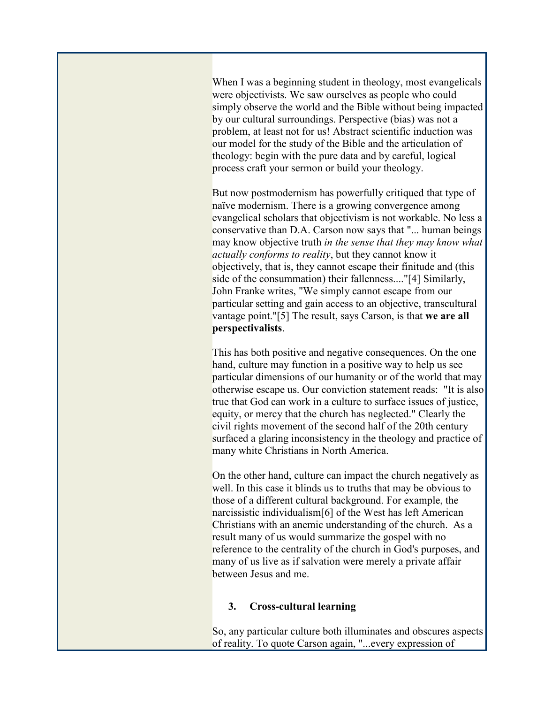When I was a beginning student in theology, most evangelicals were objectivists. We saw ourselves as people who could simply observe the world and the Bible without being impacted by our cultural surroundings. Perspective (bias) was not a problem, at least not for us! Abstract scientific induction was our model for the study of the Bible and the articulation of theology: begin with the pure data and by careful, logical process craft your sermon or build your theology.

But now postmodernism has powerfully critiqued that type of naïve modernism. There is a growing convergence among evangelical scholars that objectivism is not workable. No less a conservative than D.A. Carson now says that "... human beings may know objective truth *in the sense that they may know what actually conforms to reality*, but they cannot know it objectively, that is, they cannot escape their finitude and (this side of the consummation) their fallenness...."[4] Similarly, John Franke writes, "We simply cannot escape from our particular setting and gain access to an objective, transcultural vantage point."[5] The result, says Carson, is that **we are all perspectivalists**.

This has both positive and negative consequences. On the one hand, culture may function in a positive way to help us see particular dimensions of our humanity or of the world that may otherwise escape us. Our conviction statement reads: "It is also true that God can work in a culture to surface issues of justice, equity, or mercy that the church has neglected." Clearly the civil rights movement of the second half of the 20th century surfaced a glaring inconsistency in the theology and practice of many white Christians in North America.

On the other hand, culture can impact the church negatively as well. In this case it blinds us to truths that may be obvious to those of a different cultural background. For example, the narcissistic individualism[6] of the West has left American Christians with an anemic understanding of the church. As a result many of us would summarize the gospel with no reference to the centrality of the church in God's purposes, and many of us live as if salvation were merely a private affair between Jesus and me.

#### **3. Cross-cultural learning**

So, any particular culture both illuminates and obscures aspects of reality. To quote Carson again, "...every expression of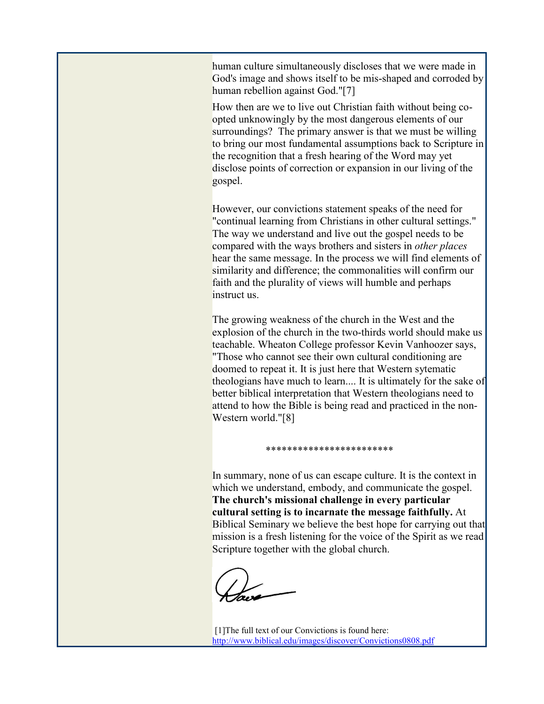human culture simultaneously discloses that we were made in God's image and shows itself to be mis-shaped and corroded by human rebellion against God."[7]

How then are we to live out Christian faith without being coopted unknowingly by the most dangerous elements of our surroundings? The primary answer is that we must be willing to bring our most fundamental assumptions back to Scripture in the recognition that a fresh hearing of the Word may yet disclose points of correction or expansion in our living of the gospel.

However, our convictions statement speaks of the need for "continual learning from Christians in other cultural settings." The way we understand and live out the gospel needs to be compared with the ways brothers and sisters in *other places* hear the same message. In the process we will find elements of similarity and difference; the commonalities will confirm our faith and the plurality of views will humble and perhaps instruct us.

The growing weakness of the church in the West and the explosion of the church in the two-thirds world should make us teachable. Wheaton College professor Kevin Vanhoozer says, "Those who cannot see their own cultural conditioning are doomed to repeat it. It is just here that Western sytematic theologians have much to learn.... It is ultimately for the sake of better biblical interpretation that Western theologians need to attend to how the Bible is being read and practiced in the non-Western world."[8]

In summary, none of us can escape culture. It is the context in which we understand, embody, and communicate the gospel. **The church's missional challenge in every particular cultural setting is to incarnate the message faithfully.** At Biblical Seminary we believe the best hope for carrying out that mission is a fresh listening for the voice of the Spirit as we read Scripture together with the global church.

\*\*\*\*\*\*\*\*\*\*\*\*\*\*\*\*\*\*\*\*\*\*\*\*

[1]The full text of our Convictions is found here: [http://www.biblical.edu/images/discover/Convictions0808.pdf](http://rs6.net/tn.jsp?et=1102678130132&s=0&e=001q24zI2w4R60gCUFr0KbDnMmlAhwd2NjsdqxwNL0AgsOLWCfsSNcc4gvFDW9HlU96abdQ0QurfIsNP156iCaMZZ7Xt8890XdZqfcS9U_YBGQmwaxfYe6LQhoU8M4wr2J7zX7tfWCAeA9YtXVplzIcRFYWfWKOrRYj545Qpn_jZHE=)